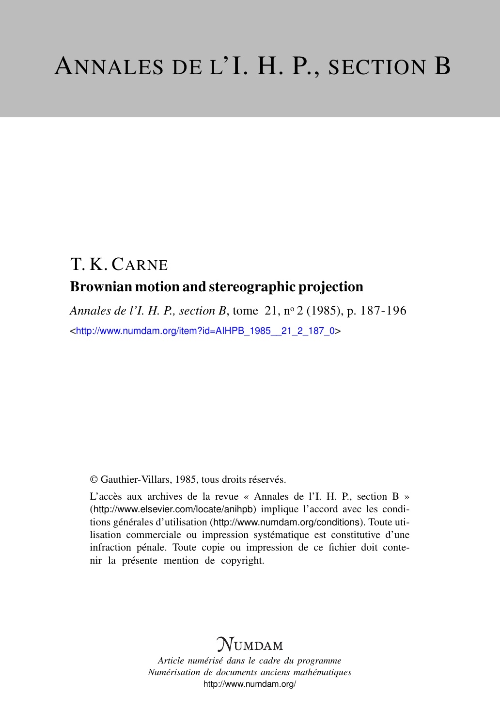## T. K. CARNE Brownian motion and stereographic projection

*Annales de l'I. H. P., section B*, tome 21, n<sup>o</sup> 2 (1985), p. 187-196 <[http://www.numdam.org/item?id=AIHPB\\_1985\\_\\_21\\_2\\_187\\_0](http://www.numdam.org/item?id=AIHPB_1985__21_2_187_0)>

© Gauthier-Villars, 1985, tous droits réservés.

L'accès aux archives de la revue « Annales de l'I. H. P., section B » (<http://www.elsevier.com/locate/anihpb>) implique l'accord avec les conditions générales d'utilisation (<http://www.numdam.org/conditions>). Toute utilisation commerciale ou impression systématique est constitutive d'une infraction pénale. Toute copie ou impression de ce fichier doit contenir la présente mention de copyright.

# **NUMDAM**

*Article numérisé dans le cadre du programme Numérisation de documents anciens mathématiques* <http://www.numdam.org/>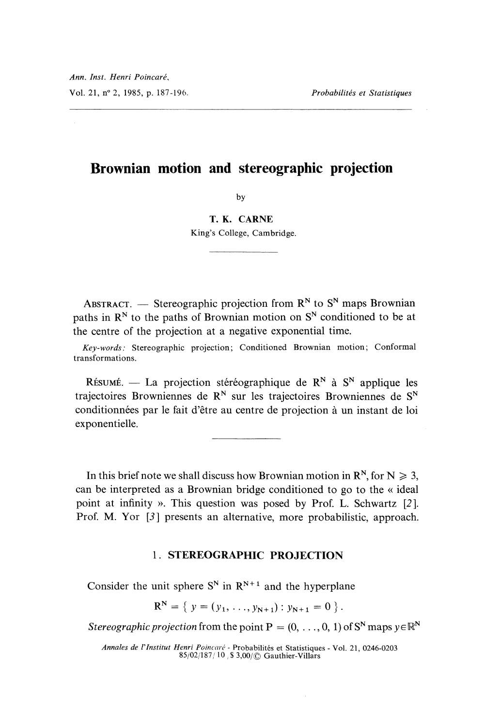### Brownian motion and stereographic projection

 $b<sub>v</sub>$ 

T. K. CARNE King's College, Cambridge.

ABSTRACT. — Stereographic projection from  $\mathbb{R}^N$  to  $\mathbb{S}^N$  maps Brownian paths in  $\mathbb{R}^N$  to the paths of Brownian motion on  $\mathbb{S}^N$  conditioned to be at the centre of the projection at a negative exponential time.

Key-words: Stereographic projection; Conditioned Brownian motion; Conformal transformations.

RÉSUMÉ. — La projection stéréographique de R<sup>N</sup> à S<sup>N</sup> applique les trajectoires Browniennes de  $\mathbb{R}^N$  sur les trajectoires Browniennes de  $\mathbb{S}^N$ conditionnées par le fait d'etre au centre de projection a un instant de loi exponentielle.

In this brief note we shall discuss how Brownian motion in  $\mathbb{R}^N$ , for  $N \geq 3$ , can be interpreted as a Brownian bridge conditioned to go to the « ideal point at infinity ». This question was posed by Prof. L. Schwartz [2]. Prof. M. Yor [3] presents an alternative, more probabilistic, approach.

#### 1. STEREOGRAPHIC PROJECTION

Consider the unit sphere  $S^N$  in  $R^{N+1}$  and the hyperplane

 $R^N = \{ y = (y_1, \ldots, y_{N+1}) : y_{N+1} = 0 \}.$ 

Stereographic projection from the point  $P = (0, \ldots, 0, 1)$  of  $S^N$  maps  $y \in \mathbb{R}^N$ 

Annales de l'Institut Henri Poincaré - Probabilités et Statistiques - Vol. 21, 0246-0203<br>85/02/187/10, \$3,00/© Gauthier-Villars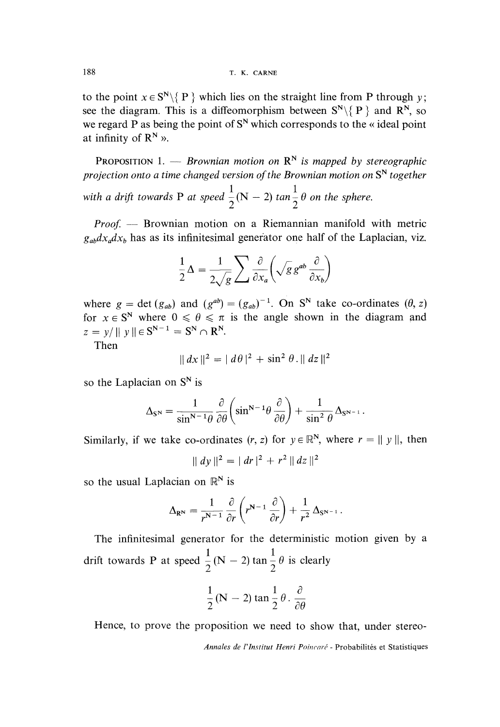to the point  $x \in S^N \setminus \{P\}$  which lies on the straight line from P through y; see the diagram. This is a diffeomorphism between  $S^N \setminus \{P\}$  and  $R^N$ , so we regard P as being the point of  $S<sup>N</sup>$  which corresponds to the « ideal point at infinity of  $\mathbb{R}^N$  ».

PROPOSITION 1. - Brownian motion on  $\mathbb{R}^N$  is mapped by stereographic projection onto a time changed version of the Brownian motion on  $S<sup>N</sup>$  together with a drift towards P at speed  $\frac{1}{2}(N-2)$  tan  $\frac{1}{2}\theta$  on the sphere.

 $Proof.$  - Brownian motion on a Riemannian manifold with metric  $g_{ab}dx_{a}dx_{b}$  has as its infinitesimal generator one half of the Laplacian, viz.

$$
\frac{1}{2}\Delta = \frac{1}{2\sqrt{g}}\sum \frac{\partial}{\partial x_a} \left(\sqrt{g} g^{ab} \frac{\partial}{\partial x_b}\right)
$$

where  $g = \det (g_{ab})$  and  $(g^{ab}) = (g_{ab})^{-1}$ . On S<sup>N</sup> take co-ordinates  $(\theta, z)$ for  $x \in S^N$  where  $0 \le \theta \le \pi$  is the angle shown in the diagram and  $z = v / || v || \in S^{N-1} = S^N \cap R^N.$ 

Then

$$
|| dx ||^2 = | d\theta |^2 + \sin^2 \theta . || dz ||^2
$$

so the Laplacian on  $S<sup>N</sup>$  is

$$
\Delta_{\rm SN} = \frac{1}{\sin^{N-1}\theta} \frac{\partial}{\partial \theta} \left( \sin^{N-1}\theta \frac{\partial}{\partial \theta} \right) + \frac{1}{\sin^2 \theta} \Delta_{\rm SN^{-1}}.
$$

Similarly, if we take co-ordinates  $(r, z)$  for  $y \in \mathbb{R}^N$ , where  $r = ||y||$ , then

$$
|| dy ||^2 = | dr |^2 + r^2 || dz ||^2
$$

so the usual Laplacian on  $\mathbb{R}^N$  is

$$
\Delta_{\mathbf{R}^{\mathbf{N}}} = \frac{1}{r^{\mathbf{N}-1}} \frac{\partial}{\partial r} \left( r^{\mathbf{N}-1} \frac{\partial}{\partial r} \right) + \frac{1}{r^2} \Delta_{\mathbf{S}^{\mathbf{N}-1}}.
$$

The infinitesimal generator for the deterministic motion given by a drift towards P at speed  $\frac{1}{2}$  (N – 2) tan  $\frac{1}{2}$   $\theta$  is clearly

$$
\frac{1}{2}(\mathbf{N}-2)\tan\frac{1}{2}\theta.\frac{\partial}{\partial\theta}
$$

Hence, to prove the proposition we need to show that, under stereo-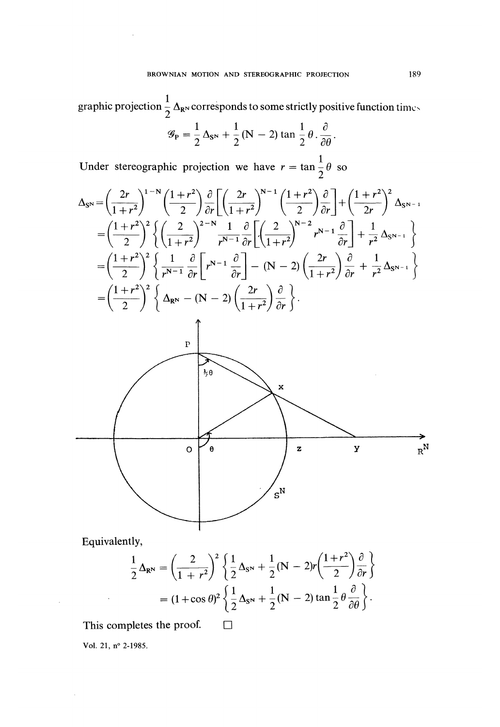graphic projection  $\frac{1}{2}\Delta_{\mathbf{R}^{\text{N}}}$  corresponds to some strictly positive function times

$$
\mathscr{G}_{\mathbf{P}} = \frac{1}{2} \Delta_{\mathbf{S}^{\mathbf{N}}} + \frac{1}{2} (\mathbf{N} - 2) \tan \frac{1}{2} \theta \cdot \frac{\partial}{\partial \theta}.
$$

Under stereographic projection we have  $r = \tan \frac{1}{2}\theta$  so

$$
\Delta_{\mathbf{S}^{\mathbf{N}}} = \left(\frac{2r}{1+r^2}\right)^{1-\mathbf{N}} \left(\frac{1+r^2}{2}\right) \frac{\partial}{\partial r} \left[\left(\frac{2r}{1+r^2}\right)^{\mathbf{N}-1} \left(\frac{1+r^2}{2}\right) \frac{\partial}{\partial r}\right] + \left(\frac{1+r^2}{2r}\right)^2 \Delta_{\mathbf{S}^{\mathbf{N}-1}}
$$
\n
$$
= \left(\frac{1+r^2}{2}\right)^2 \left\{ \left(\frac{2}{1+r^2}\right)^{2-\mathbf{N}} \frac{1}{r^{\mathbf{N}-1}} \frac{\partial}{\partial r} \left[\left(\frac{2}{1+r^2}\right)^{\mathbf{N}-2} r^{\mathbf{N}-1} \frac{\partial}{\partial r}\right] + \frac{1}{r^2} \Delta_{\mathbf{S}^{\mathbf{N}-1}} \right\}
$$
\n
$$
= \left(\frac{1+r^2}{2}\right)^2 \left\{ \frac{1}{r^{\mathbf{N}-1}} \frac{\partial}{\partial r} \left[r^{\mathbf{N}-1} \frac{\partial}{\partial r}\right] - (\mathbf{N}-2) \left(\frac{2r}{1+r^2}\right) \frac{\partial}{\partial r} + \frac{1}{r^2} \Delta_{\mathbf{S}^{\mathbf{N}-1}} \right\}
$$
\n
$$
= \left(\frac{1+r^2}{2}\right)^2 \left\{ \Delta_{\mathbf{R}^{\mathbf{N}}} - (\mathbf{N}-2) \left(\frac{2r}{1+r^2}\right) \frac{\partial}{\partial r} \right\}.
$$



Equivalently,

 $\overline{\phantom{a}}$ 

$$
\frac{1}{2}\Delta_{\mathbf{R}^{\mathbf{N}}} = \left(\frac{2}{1+r^2}\right)^2 \left\{\frac{1}{2}\Delta_{\mathbf{S}^{\mathbf{N}}} + \frac{1}{2}(\mathbf{N} - 2)r\left(\frac{1+r^2}{2}\right)\frac{\partial}{\partial r}\right\}
$$

$$
= (1+\cos\theta)^2 \left\{\frac{1}{2}\Delta_{\mathbf{S}^{\mathbf{N}}} + \frac{1}{2}(\mathbf{N} - 2)\tan\frac{1}{2}\theta\frac{\partial}{\partial\theta}\right\}.
$$

This completes the proof.  $\Box$ 

Vol. 21, n° 2-1985.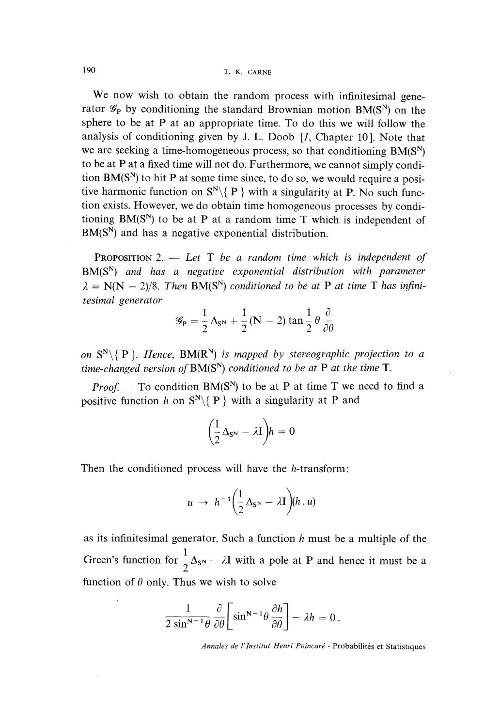190 T. K. CARNE

We now wish to obtain the random process with infinitesimal generator  $\mathscr{G}_P$  by conditioning the standard Brownian motion BM(S<sup>N</sup>) on the sphere to be at P at an appropriate time. To do this we will follow the analysis of conditioning given by J. L. Doob [*l*, Chapter 10]. Note that we are seeking a time-homogeneous process, so that conditioning  $BM(S^N)$ to be at P at a fixed time will not do. Furthermore, we cannot simply condition  $BM(S^N)$  to hit P at some time since, to do so, we would require a positive harmonic function on  $S^N \setminus \{P\}$  with a singularity at P. No such function exists. However, we do obtain time homogeneous processes by conditioning  $BM(S^N)$  to be at P at a random time T which is independent of  $BM(S^N)$  and has a negative exponential distribution.

**PROPOSITION** 2.  $-$  Let T be a random time which is independent of  $BM(S^N)$  and has a negative exponential distribution with parameter  $\lambda = N(N - 2)/8$ . Then BM(S<sup>N</sup>) conditioned to be at P at time T has infinitesimal generator

$$
\mathcal{G}_{\mathbf{P}} = \frac{1}{2} \Delta_{\mathbf{S}^{\mathbf{N}}} + \frac{1}{2} (\mathbf{N} - 2) \tan \frac{1}{2} \theta \frac{\partial}{\partial \theta}
$$

on  $S^N \setminus \{P\}$ . Hence,  $BM(R^N)$  is mapped by stereographic projection to a time-changed version of  $BM(S^N)$  conditioned to be at P at the time T.

*Proof.* — To condition  $BM(S^N)$  to be at P at time T we need to find a positive function h on  $S^N \setminus \{P\}$  with a singularity at P and

$$
\bigg(\frac{1}{2}\Delta_{S^N}-\lambda I\bigg)h=0
$$

Then the conditioned process will have the h-transform:

$$
u \rightarrow h^{-1} \left(\frac{1}{2} \Delta_{\mathbf{S}^{\mathbf{N}}} - \lambda \mathbf{I}\right) (h \cdot u)
$$

as its infinitesimal generator. Such a function  $h$  must be a multiple of the Green's function for  $\frac{1}{2}\Delta_{S^N} - \lambda I$  with a pole at P and hence it must be a function of  $\theta$  only. Thus we wish to solve

$$
\frac{1}{2\sin^{N-1}\theta}\frac{\partial}{\partial\theta}\bigg[\sin^{N-1}\theta\frac{\partial h}{\partial\theta}\bigg]-\lambda h=0.
$$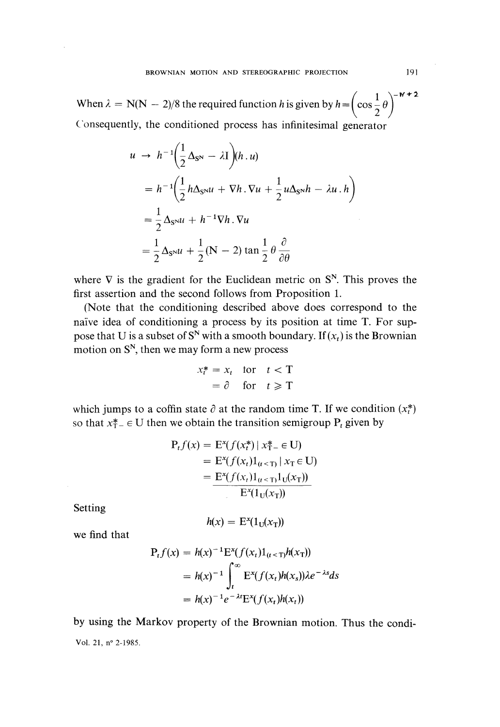When  $\lambda = N(N - 2)/8$  the required function h is given by  $h =$  $\left( \begin{array}{cc} 2 \end{array} \right)$ Consequently, the conditioned process has infinitesimal generator

$$
u \to h^{-1} \left( \frac{1}{2} \Delta_{\mathbf{S}^N} - \lambda \mathbf{I} \right) (h \cdot u)
$$
  
=  $h^{-1} \left( \frac{1}{2} h \Delta_{\mathbf{S}^N} u + \nabla h \cdot \nabla u + \frac{1}{2} u \Delta_{\mathbf{S}^N} h - \lambda u \cdot h \right)$   
=  $\frac{1}{2} \Delta_{\mathbf{S}^N} u + h^{-1} \nabla h \cdot \nabla u$   
=  $\frac{1}{2} \Delta_{\mathbf{S}^N} u + \frac{1}{2} (\mathbf{N} - 2) \tan \frac{1}{2} \theta \frac{\partial}{\partial \theta}$ 

where  $\nabla$  is the gradient for the Euclidean metric on  $S<sup>N</sup>$ . This proves the first assertion and the second follows from Proposition 1.

(Note that the conditioning described above does correspond to the naive idea of conditioning a process by its position at time T. For suppose that U is a subset of S<sup>N</sup> with a smooth boundary. If  $(x_t)$  is the Brownian motion on  $S<sup>N</sup>$ , then we may form a new process

$$
x_t^* = x_t \quad \text{for} \quad t < T
$$

$$
= \partial \quad \text{for} \quad t \ge T
$$

which jumps to a coffin state  $\partial$  at the random time T. If we condition  $(x_t^*)$  so that  $x_{t-}^* \in U$  then we obtain the transition semigroup P<sub>t</sub> given by

$$
P_t f(x) = E^x(f(x_t^*) | x_T^* = \text{U})
$$
  
=  $E^x(f(x_t)1_{(t < T)} | x_T \in \text{U})$   
=  $\frac{E^x(f(x_t)1_{(t < T)}1_{\text{U}}(x_T))}{E^x(1_{\text{U}}(x_T))}$ 

Setting

$$
h(x) = \mathcal{E}^x(1_{\mathcal{U}}(x_{\mathcal{T}}))
$$

we find that

$$
P_t f(x) = h(x)^{-1} E^x(f(x_t)1_{(t < T)}h(x_T))
$$
  
=  $h(x)^{-1} \int_t^{\infty} E^x(f(x_t)h(x_s)) \lambda e^{-\lambda s} ds$   
=  $h(x)^{-1} e^{-\lambda t} E^x(f(x_t)h(x_t))$ 

by using the Markov property of the Brownian motion. Thus the condi-Vol. 21, n° 2-1985.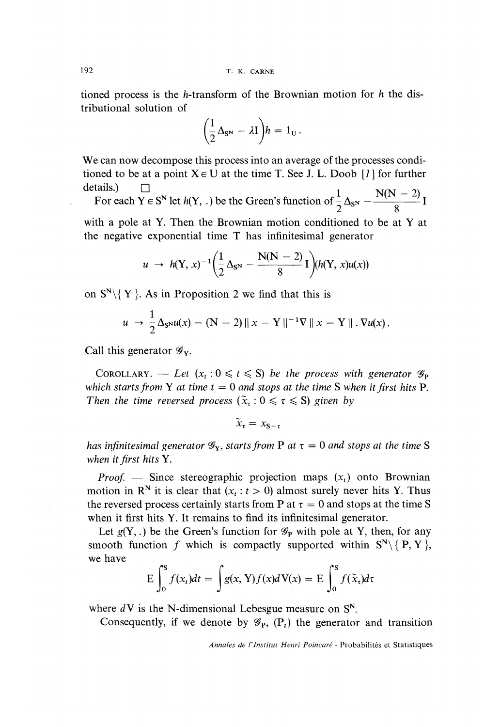tioned process is the h-transform of the Brownian motion for  $h$  the distributional solution of

$$
\left(\frac{1}{2}\Delta_{\mathbf{S}^{\mathbf{N}}}-\lambda\mathbf{I}\right)h=1_{\mathbf{U}}.
$$

We can now decompose this process into an average of the processes conditioned to be at a point  $X \in U$  at the time T. See J. L. Doob [1] for further

details.)  $\Box$ <br>For each Y  $\in S^N$  let  $h(Y, .)$  be the Green's function of  $\frac{1}{2}\Delta_{S^N} - \frac{N(N-2)}{8}I$ 

with a pole at Y. Then the Brownian motion conditioned to be at Y at the negative exponential time T has infinitesimal generator

$$
u \to h(Y, x)^{-1} \left( \frac{1}{2} \Delta_{S^N} - \frac{N(N-2)}{8} I \right) (h(Y, x) u(x))
$$

on  $S^N \setminus \{ Y \}$ . As in Proposition 2 we find that this is

$$
u \to \frac{1}{2} \Delta_{S^{N}} u(x) - (N-2) \|x - Y\|^{-1} \nabla \|x - Y\| \cdot \nabla u(x).
$$

Call this generator  $\mathscr{G}_{Y}$ .

COROLLARY. — Let  $(x_t : 0 \le t \le S)$  be the process with generator  $\mathscr{G}_P$ which starts from Y at time  $t = 0$  and stops at the time S when it first hits P.<br>Then the time reversed process  $(\tilde{x}_t : 0 \leq \tau \leq S)$  given by

$$
\widetilde{x}_{\tau} = x_{\mathbf{S}-\tau}
$$

has infinitesimal generator  $\mathcal{G}_Y$ , starts from P at  $\tau = 0$  and stops at the time S when it first hits Y.

*Proof.* - Since stereographic projection maps  $(x_t)$  onto Brownian motion in  $\mathbb{R}^N$  it is clear that  $(x_t : t > 0)$  almost surely never hits Y. Thus the reversed process certainly starts from P at  $\tau = 0$  and stops at the time S when it first hits Y. It remains to find its infinitesimal generator.

Let  $g(Y,.)$  be the Green's function for  $\mathscr{G}_P$  with pole at Y, then, for any smooth function f which is compactly supported within  $S^N \setminus \{P, Y\}$ , we have

$$
E\int_0^S f(x_t)dt = \int g(x, Y)f(x)dV(x) = E\int_0^S f(\tilde{x}_t)d\tau
$$

where  $dV$  is the N-dimensional Lebesgue measure on  $S<sup>N</sup>$ .

Consequently, if we denote by  $\mathscr{G}_{P}$ ,  $(P_t)$  the generator and transition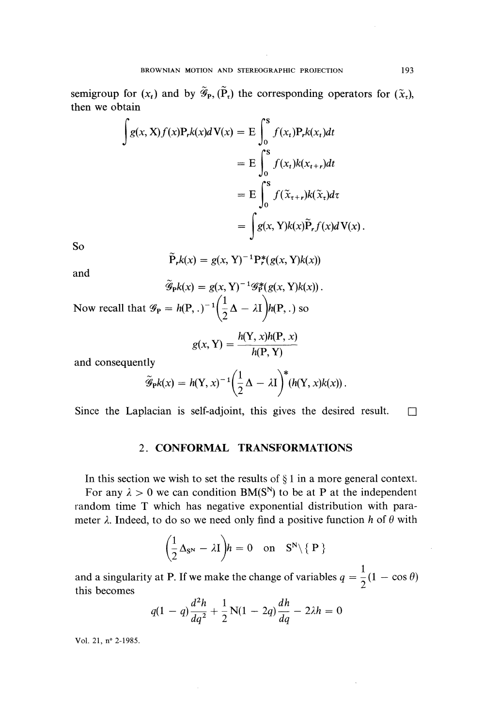semigroup for  $(x_t)$  and by  $\widetilde{\mathscr{G}}_{p_1}(\widetilde{P}_t)$  the corresponding operators for  $(\widetilde{x}_t)$ , then we obtain

$$
\int g(x, X) f(x) P_r k(x) dV(x) = E \int_0^S f(x_t) P_r k(x_t) dt
$$
  
= 
$$
E \int_0^S f(x_t) k(x_{t+r}) dt
$$
  
= 
$$
E \int_0^S f(\tilde{x}_{t+r}) k(\tilde{x}_t) d\tau
$$
  
= 
$$
\int g(x, Y) k(x) \tilde{P}_r f(x) dV(x).
$$

So

$$
\mathbf{P}_r k(x) = g(x, \mathbf{Y})^{-1} \mathbf{P}_r^*(g(x, \mathbf{Y})k(x))
$$

and

$$
\tilde{\mathcal{G}}_{\mathbf{P}}k(x) = g(x, \mathbf{Y})^{-1} \mathcal{G}_{\mathbf{P}}^*(g(x, \mathbf{Y})k(x)).
$$
  
Now recall that  $\mathcal{G}_{\mathbf{P}} = h(\mathbf{P}, .)^{-1} \left(\frac{1}{2}\Delta - \lambda \mathbf{I}\right)h(\mathbf{P}, .)$  so

$$
g(x, Y) = \frac{h(Y, x)h(P, x)}{h(P, Y)}
$$

and consequently

$$
\widetilde{\mathscr{G}}_{\mathbf{P}}k(x) = h(\mathbf{Y}, x)^{-1} \left(\frac{1}{2}\Delta - \lambda \mathbf{I}\right)^* \left(h(\mathbf{Y}, x)k(x)\right).
$$

Since the Laplacian is self-adjoint, this gives the desired result.  $\square$ 

#### 2. CONFORMAL TRANSFORMATIONS

In this section we wish to set the results of  $\S 1$  in a more general context.

For any  $\lambda > 0$  we can condition BM(S<sup>N</sup>) to be at P at the independent random time T which has negative exponential distribution with parameter  $\lambda$ . Indeed, to do so we need only find a positive function h of  $\theta$  with

$$
\left(\frac{1}{2}\Delta_{\mathbf{S}^{\mathbf{N}}}-\lambda\mathbf{I}\right)h=0\quad\text{on}\quad\mathbf{S}^{\mathbf{N}}\backslash\set{\mathbf{P}}
$$

and a singularity at P. If we make the change of variables  $q = \frac{1}{2}(1 - \cos \theta)$ <br>this becomes

$$
q(1-q)\frac{d^2h}{dq^2} + \frac{1}{2}N(1-2q)\frac{dh}{dq} - 2\lambda h = 0
$$

Vol. 21, n° 2-1985.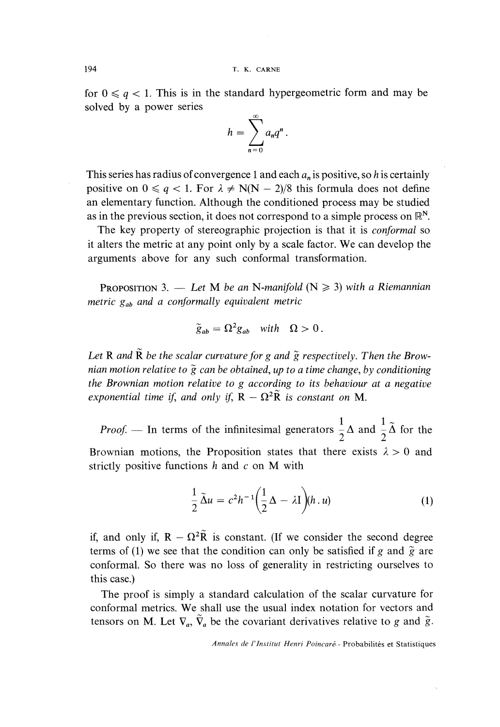for  $0 \le a \le 1$ . This is in the standard hypergeometric form and may be solved by a power series

$$
h=\sum_{n=0}^{\infty}a_nq^n.
$$

This series has radius of convergence 1 and each  $a_n$  is positive, so h is certainly positive on  $0 \le q < 1$ . For  $\lambda \ne N(N - 2)/8$  this formula does not define an elementary function. Although the conditioned process may be studied as in the previous section, it does not correspond to a simple process on  $\mathbb{R}^N$ .

The key property of stereographic projection is that it is *conformal* so it alters the metric at any point only by a scale factor. We can develop the arguments above for any such conformal transformation.

PROPOSITION 3. - Let M be an N-manifold ( $N \ge 3$ ) with a Riemannian metric  $g_{ab}$  and a conformally equivalent metric

$$
\widetilde{g}_{ab} = \Omega^2 g_{ab} \quad \text{with} \quad \Omega > 0 \, .
$$

Let R and  $\tilde{R}$  be the scalar curvature for g and  $\tilde{g}$  respectively. Then the Brownian motion relative to  $\tilde{g}$  can be obtained, up to a time change, by conditioning the Brownian motion relative to g according to its behaviour at a negative exponential time if, and only if,  $R - \Omega^2 \tilde{R}$  is constant on M.

*Proof.* — In terms of the infinitesimal generators  $\frac{1}{2}\Delta$  and  $\frac{1}{2}\tilde{\Delta}$  for the Brownian motions, the Proposition states that there exists  $\lambda > 0$  and strictly positive functions  $h$  and  $c$  on M with

$$
\frac{1}{2}\tilde{\Delta}u = c^2h^{-1}\bigg(\frac{1}{2}\Delta - \lambda I\bigg)(h\,.\,u) \tag{1}
$$

if, and only if,  $R - \Omega^2 \tilde{R}$  is constant. (If we consider the second degree terms of (1) we see that the condition can only be satisfied if g and  $\tilde{g}$  are conformal. So there was no loss of generality in restricting ourselves to this case.)

The proof is simply a standard calculation of the scalar curvature for conformal metrics. We shall use the usual index notation for vectors and tensors on M. Let  $\nabla_a$ ,  $\tilde{\nabla}_a$  be the covariant derivatives relative to g and  $\tilde{g}$ .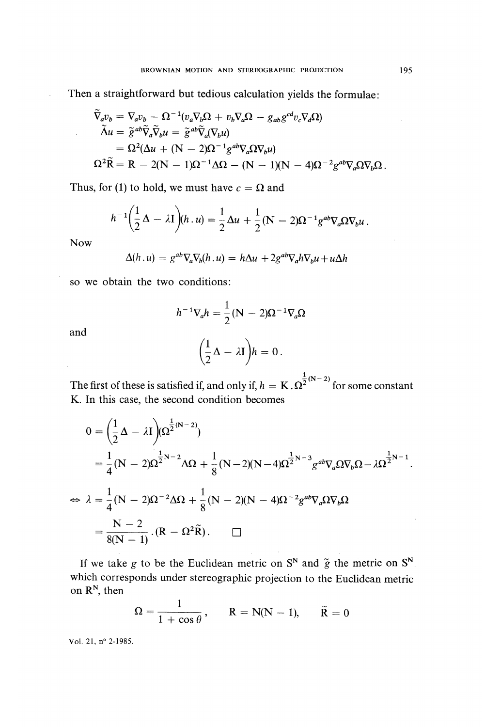Then a straightforward but tedious calculation yields the formulae :

$$
\tilde{\nabla}_a v_b = \nabla_a v_b - \Omega^{-1} (v_a \nabla_b \Omega + v_b \nabla_a \Omega - g_{ab} g^{cd} v_c \nabla_d \Omega)
$$
  
\n
$$
\tilde{\Delta} u = \tilde{g}^{ab} \tilde{\nabla}_a \tilde{\nabla}_b u = \tilde{g}^{ab} \tilde{\nabla}_a (\nabla_b u)
$$
  
\n
$$
= \Omega^2 (\Delta u + (\mathbf{N} - 2)\Omega^{-1} g^{ab} \nabla_a \Omega \nabla_b u)
$$
  
\n
$$
\Omega^2 \tilde{\mathbf{R}} = \mathbf{R} - 2(\mathbf{N} - 1)\Omega^{-1} \Delta \Omega - (\mathbf{N} - 1)(\mathbf{N} - 4)\Omega^{-2} g^{ab} \nabla_a \Omega \nabla_b \Omega.
$$

Thus, for (1) to hold, we must have  $c = \Omega$  and

$$
h^{-1}\left(\frac{1}{2}\Delta - \lambda I\right)(h\cdot u) = \frac{1}{2}\Delta u + \frac{1}{2}(N-2)\Omega^{-1}g^{ab}\nabla_a\Omega\nabla_b u.
$$

Now

$$
\Delta(h.u) = g^{ab}\nabla_a\nabla_b(h.u) = h\Delta u + 2g^{ab}\nabla_a h\nabla_b u + u\Delta h
$$

so we obtain the two conditions:

$$
h^{-1}\nabla_a h = \frac{1}{2}(\mathbf{N} - 2)\mathbf{\Omega}^{-1}\nabla_a \mathbf{\Omega}
$$

and

$$
\left(\frac{1}{2}\Delta - \lambda I\right)h = 0.
$$

The first of these is satisfied if, and only if,  $h = K \cdot \Omega^{\frac{1}{2}(N-2)}$  for some constant K. In this case, the second condition becomes

$$
0 = \left(\frac{1}{2}\Delta - \lambda I\right) (\Omega^{\frac{1}{2}(N-2)})
$$
  
=  $\frac{1}{4}(N-2)\Omega^{\frac{1}{2}N-2}\Delta\Omega + \frac{1}{8}(N-2)(N-4)\Omega^{\frac{1}{2}N-3}g^{ab}\nabla_a\Omega\nabla_b\Omega - \lambda\Omega^{\frac{1}{2}N-1}.$   

$$
\Leftrightarrow \lambda = \frac{1}{4}(N-2)\Omega^{-2}\Delta\Omega + \frac{1}{8}(N-2)(N-4)\Omega^{-2}g^{ab}\nabla_a\Omega\nabla_b\Omega
$$
  
=  $\frac{N-2}{8(N-1)}\cdot (R - \Omega^2\tilde{R}).$ 

If we take g to be the Euclidean metric on  $S^N$  and  $\tilde{g}$  the metric on  $S^N$ . which corresponds under stereographic projection to the Euclidean metric on  $\mathbb{R}^N$ , then  $\overline{a}$ 

$$
\Omega = \frac{1}{1 + \cos \theta}, \qquad R = N(N-1), \qquad \tilde{R} = 0
$$

Vol. 21, n° 2-1985.